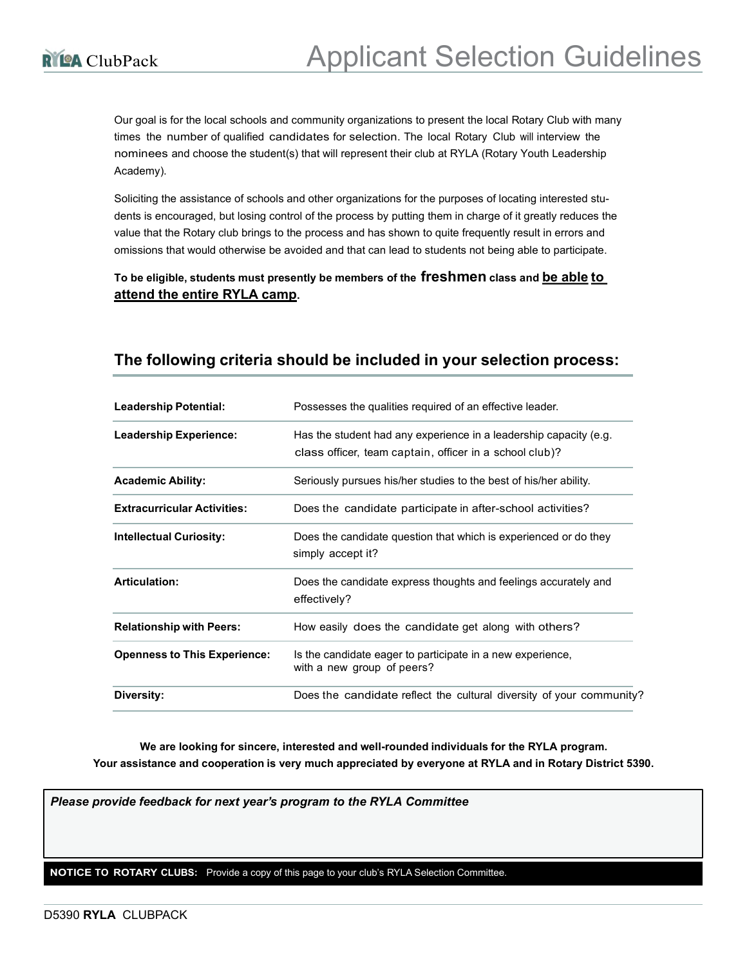Our goal is for the local schools and community organizations to present the local Rotary Club with many times the number of qualified candidates for selection. The local Rotary Club will interview the nominees and choose the student(s) that will represent their club at RYLA (Rotary Youth Leadership Academy).

Soliciting the assistance of schools and other organizations for the purposes of locating interested students is encouraged, but losing control of the process by putting them in charge of it greatly reduces the value that the Rotary club brings to the process and has shown to quite frequently result in errors and omissions that would otherwise be avoided and that can lead to students not being able to participate.

## To be eligible, students must presently be members of the freshmen class and be able to attend the entire RYLA camp.

| <b>Leadership Potential:</b>        | Possesses the qualities required of an effective leader.             |  |  |  |
|-------------------------------------|----------------------------------------------------------------------|--|--|--|
| <b>Leadership Experience:</b>       | Has the student had any experience in a leadership capacity (e.g.    |  |  |  |
|                                     | class officer, team captain, officer in a school club)?              |  |  |  |
| <b>Academic Ability:</b>            | Seriously pursues his/her studies to the best of his/her ability.    |  |  |  |
| <b>Extracurricular Activities:</b>  | Does the candidate participate in after-school activities?           |  |  |  |
| <b>Intellectual Curiosity:</b>      | Does the candidate question that which is experienced or do they     |  |  |  |
|                                     | simply accept it?                                                    |  |  |  |
| <b>Articulation:</b>                | Does the candidate express thoughts and feelings accurately and      |  |  |  |
|                                     | effectively?                                                         |  |  |  |
| <b>Relationship with Peers:</b>     | How easily does the candidate get along with others?                 |  |  |  |
| <b>Openness to This Experience:</b> | Is the candidate eager to participate in a new experience,           |  |  |  |
|                                     | with a new group of peers?                                           |  |  |  |
| Diversity:                          | Does the candidate reflect the cultural diversity of your community? |  |  |  |

## The following criteria should be included in your selection process:

We are looking for sincere, interested and well-rounded individuals for the RYLA program. Your assistance and cooperation is very much appreciated by everyone at RYLA and in Rotary District 5390.

Please provide feedback for next year's program to the RYLA Committee

NOTICE TO ROTARY CLUBS: Provide a copy of this page to your club's RYLA Selection Committee.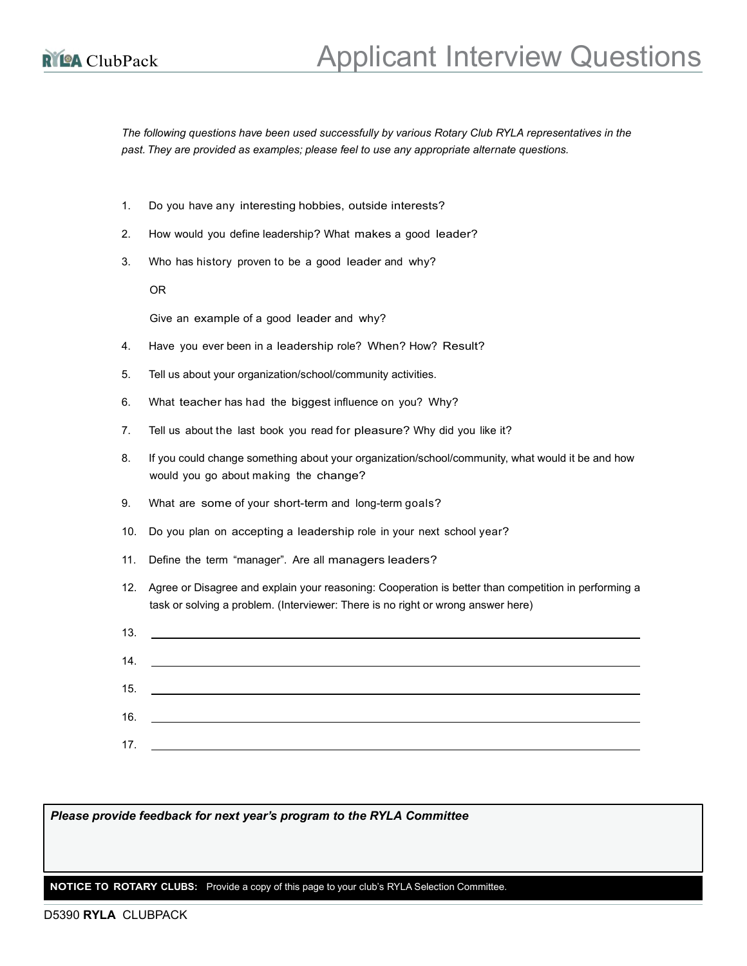The following questions have been used successfully by various Rotary Club RYLA representatives in the past. They are provided as examples; please feel to use any appropriate alternate questions.

- 1. Do you have any interesting hobbies, outside interests?
- 2. How would you define leadership? What makes a good leader?
- 3. Who has history proven to be a good leader and why?

OR

Give an example of a good leader and why?

- 4. Have you ever been in a leadership role? When? How? Result?
- 5. Tell us about your organization/school/community activities.
- 6. What teacher has had the biggest influence on you? Why?
- 7. Tell us about the last book you read for pleasure? Why did you like it?
- 8. If you could change something about your organization/school/community, what would it be and how would you go about making the change?
- 9. What are some of your short-term and long-term goals?
- 10. Do you plan on accepting a leadership role in your next school year?
- 11. Define the term "manager". Are all managers leaders?
- 12. Agree or Disagree and explain your reasoning: Cooperation is better than competition in performing a task or solving a problem. (Interviewer: There is no right or wrong answer here)

| $13.$ $\frac{1}{2}$ $\frac{1}{2}$ $\frac{1}{2}$ $\frac{1}{2}$ $\frac{1}{2}$ $\frac{1}{2}$ $\frac{1}{2}$ $\frac{1}{2}$ $\frac{1}{2}$ $\frac{1}{2}$ $\frac{1}{2}$ $\frac{1}{2}$ $\frac{1}{2}$ $\frac{1}{2}$ $\frac{1}{2}$ $\frac{1}{2}$ $\frac{1}{2}$ $\frac{1}{2}$ $\frac{1}{2}$ $\frac{1}{2}$ $\frac{1}{2}$ $\frac{1$ |
|-----------------------------------------------------------------------------------------------------------------------------------------------------------------------------------------------------------------------------------------------------------------------------------------------------------------------|
|                                                                                                                                                                                                                                                                                                                       |
| $15.$ $\qquad \qquad$                                                                                                                                                                                                                                                                                                 |
|                                                                                                                                                                                                                                                                                                                       |
| 16.                                                                                                                                                                                                                                                                                                                   |
| 17.                                                                                                                                                                                                                                                                                                                   |

Please provide feedback for next year's program to the RYLA Committee

NOTICE TO ROTARY CLUBS: Provide a copy of this page to your club's RYLA Selection Committee.

## D5390 RYLA CLUBPACK